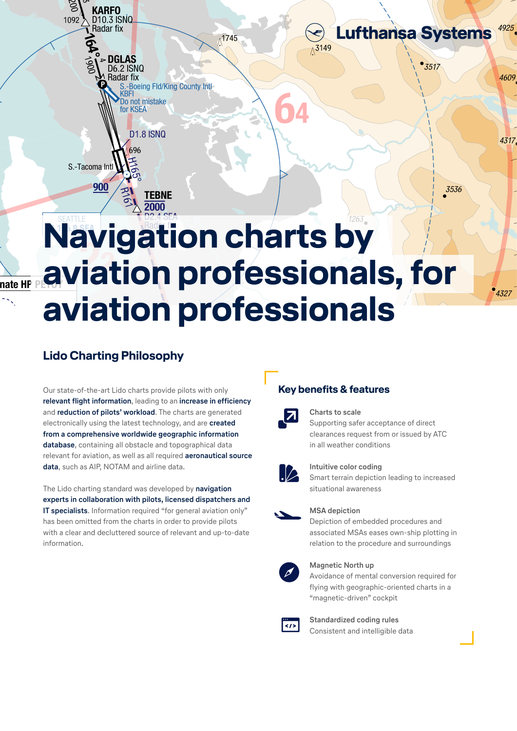avı<br>İal  $N$  21 **Navigation charts by** D2.4 SEA **aviation professionals, for aviation professionals**

 $\wedge$ <sup>1745</sup>

### ilosophy **Lido Charting Philosophy**

wordstate-of-the-art Lido charts provide pilots with only<br>Morth only relevant for aviation, as well as all required **aeronautical source** data, such as AIP, NOTAM and airline data. **relevant flight information**, leading to an **increase in efficiency**<br>and **reduction of pilots' workload**. The charts are generated from a comprehensive worldwide geographic information and **reduction of pilots' workload**. The charts are generated electronically using the latest technology, and are **created database**, containing all obstacle and topographical data

S.-Boeing Fld/King County Intl

KBFI

D6.2 ISNQ

Radar fix

4 DGLAS

 $\mathbf \Theta$ 

KARFO D10.3 ISNQ

Radar fix

 $\odot$ 

 $\wedge$ 

R161

H<sub>05</sub>

696

Ą

**TEBNE** 

2000

S.-Tacoma Intl

nate HP

900

 $\Delta$ 

a

1092

1900

164°

ပ္ပ  $\check{\varepsilon}$ 

> Do not mistake for KSEA

> > D<sub>1.8</sub> ISN<sub>Q</sub>

as been onnece non-the enarts in order to provide phots<br>with a clear and decluttered source of relevant and up-to-date experts in collaboration with pilots, licensed dispatchers and Icensed dispatchers and<br>
"for general aviation only"<br>
order to provide pilots<br>
Depiction of relevant and up-to-date<br>
Alternation of the associated<br>
September of the associated The Lido charting standard was developed by **navigation IT specialists**. Information required "for general aviation only" has been omitted from the charts in order to provide pilots information.

# **Key benefits & features**



64

 $\Lambda^{3149}$ 

# **600 Charts to scale**

onario to oome<br>Supporting safer acceptance of direct in all weather conditions clearances request from or issued by ATC

 $• 3517$ 

**Lufthansa Systems** 

4925

4609

4317

4327

3536



#### **Intuitive color coding**

Smart terrain depiction leading to increased situational awareness

#### **MSA depiction**

м**ъд аерістіоп**<br>Depiction of embedded procedures and te associated moas eases own-snip plotting in<br>relation to the procedure and surroundings associated MSAs eases own-ship plotting in



#### **Magnetic North up**

magnede rocur ap<br>Avoidance of mental conversion required for  $\mu_{\text{magnetic}}$ nagi  $r$ iyon" cockpit 880 "magnetic-driven" cockpit flying with geographic-oriented charts in a



**Standardized coding rules Consistent and intelligible data**